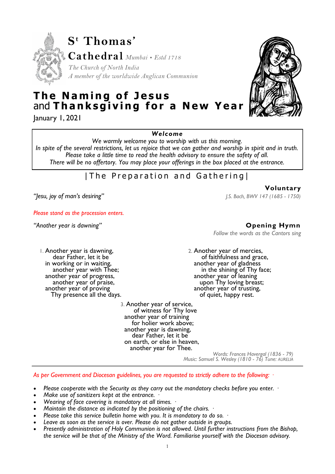

# **The Naming of Jesus** and Thanksgiving for a New Year

January 1, 2021

*Welcome* 

*We warmly welcome you to worship with us this morning.* 

*In spite of the several restrictions, let us rejoice that we can gather and worship in spirit and in truth. Please take a little time to read the health advisory to ensure the safety of all. There will be no offertory. You may place your offerings in the box placed at the entrance.* 

# | The Preparation and Gathering|

*"Jesu, joy of man's desiring"**J.S. Bach, BWV 147 (1685 - 1750)* 

*Please stand as the procession enters.* 

1. Another year is dawning, dear Father, let it be in working or in waiting, another year with Thee; another year of progress, another year of praise, another year of proving Thy presence all the days.

> 3. Another year of service, of witness for Thy love another year of training for holier work above; another year is dawning, dear Father, let it be on earth, or else in heaven, another year for Thee.

*"Another year is dawning"* **Opening Hymn** 

**Voluntary** 

*Follow the words as the Cantors sing* 

2. Another year of mercies, of faithfulness and grace, another year of gladness in the shining of Thy face; another year of leaning upon Thy loving breast; another year of trusting, of quiet, happy rest.

*Words: Frances Havergal (1836 - 79) Music: Samuel S. Wesley (1810 - 76) Tune: AURELIA*

*As per Government and Diocesan guidelines, you are requested to strictly adhere to the following: ·* 

- *Please cooperate with the Security as they carry out the mandatory checks before you enter. ·*
- *Make use of sanitizers kept at the entrance. ·*
- *Wearing of face covering is mandatory at all times. ·*
- *Maintain the distance as indicated by the positioning of the chairs. ·*
- *Please take this service bulletin home with you. It is mandatory to do so. ·*
- *Leave as soon as the service is over. Please do not gather outside in groups.*
- *Presently administration of Holy Communion is not allowed. Until further instructions from the Bishop, the service will be that of the Ministry of the Word. Familiarise yourself with the Diocesan advisory.*

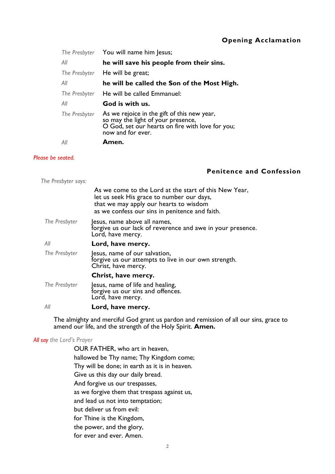# **Opening Acclamation**

|               | The Presbyter You will name him Jesus;                                                                                                                     |
|---------------|------------------------------------------------------------------------------------------------------------------------------------------------------------|
| All           | he will save his people from their sins.                                                                                                                   |
| The Presbyter | He will be great;                                                                                                                                          |
| All           | he will be called the Son of the Most High.                                                                                                                |
| The Presbyter | He will be called Emmanuel:                                                                                                                                |
| All           | God is with us.                                                                                                                                            |
| The Presbyter | As we rejoice in the gift of this new year,<br>so may the light of your presence,<br>O God, set our hearts on fire with love for you;<br>now and for ever. |
| All           | Amen.                                                                                                                                                      |

### *Please be seated.*

# **Penitence and Confession**

| The Presbyter says: |                                                                                                                                                                                                |
|---------------------|------------------------------------------------------------------------------------------------------------------------------------------------------------------------------------------------|
|                     | As we come to the Lord at the start of this New Year,<br>let us seek His grace to number our days,<br>that we may apply our hearts to wisdom<br>as we confess our sins in penitence and faith. |
| The Presbyter       | esus, name above all names,<br>forgive us our lack of reverence and awe in your presence.<br>Lord, have mercy.                                                                                 |
| All                 | Lord, have mercy.                                                                                                                                                                              |
| The Presbyter       | Jesus, name of our salvation,<br>forgive us our attempts to live in our own strength.<br>Christ, have mercy.                                                                                   |
|                     | Christ, have mercy.                                                                                                                                                                            |
| The Presbyter       | Jesus, name of life and healing,<br>forgive us our sins and offences.<br>Lord, have mercy.                                                                                                     |
| Αll                 | Lord, have mercy.                                                                                                                                                                              |

The almighty and merciful God grant us pardon and remission of all our sins, grace to amend our life, and the strength of the Holy Spirit. **Amen.** 

### *All say the Lord's Prayer*

OUR FATHER, who art in heaven, hallowed be Thy name; Thy Kingdom come; Thy will be done; in earth as it is in heaven. Give us this day our daily bread. And forgive us our trespasses, as we forgive them that trespass against us, and lead us not into temptation; but deliver us from evil: for Thine is the Kingdom, the power, and the glory, for ever and ever. Amen.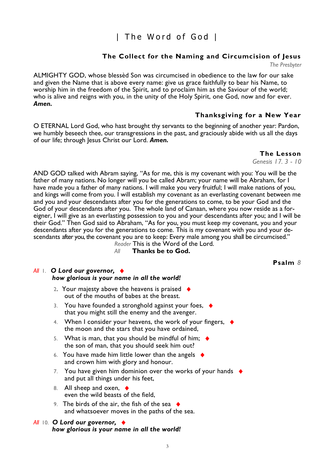# | The Word of God |

## **The Collect for the Naming and Circumcision of Jesus**

*The Presbyter* 

ALMIGHTY GOD, whose blessèd Son was circumcised in obedience to the law for our sake and given the Name that is above every name: give us grace faithfully to bear his Name, to worship him in the freedom of the Spirit, and to proclaim him as the Saviour of the world; who is alive and reigns with you, in the unity of the Holy Spirit, one God, now and for ever. *Amen.* 

## **Thanksgiving for a New Year**

O ETERNAL Lord God, who hast brought thy servants to the beginning of another year: Pardon, we humbly beseech thee, our transgressions in the past, and graciously abide with us all the days of our life; through Jesus Christ our Lord. Amen.

 **The Lesson** 

*Genesis 17. 3 - 10* 

AND GOD talked with Abram saying, "As for me, this is my covenant with you: You will be the father of many nations. No longer will you be called Abram; your name will be Abraham, for I have made you a father of many nations. I will make you very fruitful; I will make nations of you, and kings will come from you. I will establish my covenant as an everlasting covenant between me and you and your descendants after you for the generations to come, to be your God and the God of your descendants after you. The whole land of Canaan, where you now reside as a foreigner, I will give as an everlasting possession to you and your descendants after you; and I will be their God." Then God said to Abraham, "As for you, you must keep my covenant, you and your descendants after you for the generations to come. This is my covenant with you and your descendants after you, the covenant you are to keep: Every male among you shall be circumcised." *Reader* This is the Word of the Lord.

*All* **Thanks be to God.** 

# *All* 1. *O Lord our governor,*♦

- *how glorious is your name in all the world!* 
	- 2. Your majesty above the heavens is praised  $\blacklozenge$ out of the mouths of babes at the breast.
	- 3. You have founded a stronghold against your foes,  $\blacklozenge$ that you might still the enemy and the avenger.
	- 4. When I consider your heavens, the work of your fingers,  $\triangleleft$ the moon and the stars that you have ordained,
	- 5. What is man, that you should be mindful of him;  $\blacklozenge$ the son of man, that you should seek him out?
	- 6. You have made him little lower than the angels  $\triangleleft$ and crown him with glory and honour.
	- 7. You have given him dominion over the works of your hands  $\blacklozenge$ and put all things under his feet,
	- 8. All sheep and oxen,  $\triangleleft$ even the wild beasts of the field,
	- 9. The birds of the air, the fish of the sea  $\bullet$ and whatsoever moves in the paths of the sea.

## *All* 10. *O Lord our governor,*♦  *how glorious is your name in all the world!*

**Psalm** *8*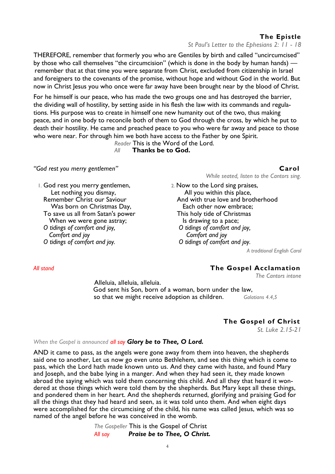## **The Epistle**

*St Paul's Letter to the Ephesians 2: 11 - 18*

THEREFORE, remember that formerly you who are Gentiles by birth and called "uncircumcised" by those who call themselves "the circumcision" (which is done in the body by human hands) remember that at that time you were separate from Christ, excluded from citizenship in Israel and foreigners to the covenants of the promise, without hope and without God in the world. But now in Christ Jesus you who once were far away have been brought near by the blood of Christ.

For he himself is our peace, who has made the two groups one and has destroyed the barrier, the dividing wall of hostility, by setting aside in his flesh the law with its commands and regulations. His purpose was to create in himself one new humanity out of the two, thus making peace, and in one body to reconcile both of them to God through the cross, by which he put to death their hostility. He came and preached peace to you who were far away and peace to those who were near. For through him we both have access to the Father by one Spirit.

*Reader* This is the Word of the Lord. *All* **Thanks be to God.** 

### *"God rest you merry gentlemen"* **Carol**

*While seated, listen to the Cantors sing.* 

1. God rest you merry gentlemen, Let nothing you dismay, Remember Christ our Saviour Was born on Christmas Day, To save us all from Satan's power When we were gone astray; *O tidings of comfort and joy, Comfort and joy O tidings of comfort and joy.* 

2. Now to the Lord sing praises, All you within this place, And with true love and brotherhood Each other now embrace; This holy tide of Christmas Is drawing to a pace; *O tidings of comfort and joy, Comfort and joy O tidings of comfort and joy.* 

*A traditional English Carol*

### *All stand* **The Gospel Acclamation**

*The Cantors intone*

Alleluia, alleluia, alleluia. God sent his Son, born of a woman, born under the law, so that we might receive adoption as children. *Galatians 4.4,5* 

### **The Gospel of Christ**

*St. Luke 2.15-21*

### *When the Gospel is announced all say Glory be to Thee, O Lord.*

AND it came to pass, as the angels were gone away from them into heaven, the shepherds said one to another, Let us now go even unto Bethlehem, and see this thing which is come to pass, which the Lord hath made known unto us. And they came with haste, and found Mary and Joseph, and the babe lying in a manger. And when they had seen it, they made known abroad the saying which was told them concerning this child. And all they that heard it wondered at those things which were told them by the shepherds. But Mary kept all these things, and pondered them in her heart. And the shepherds returned, glorifying and praising God for all the things that they had heard and seen, as it was told unto them. And when eight days were accomplished for the circumcising of the child, his name was called Jesus, which was so named of the angel before he was conceived in the womb.

> *The Gospeller* This is the Gospel of Christ *All say Praise be to Thee, O Christ.*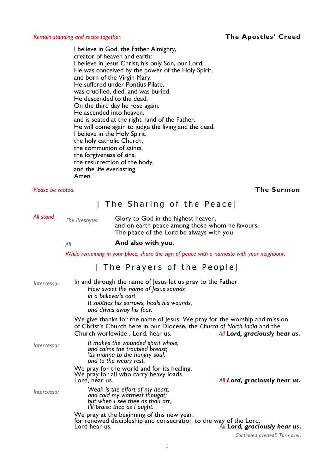*Remain standing and recite together.* **The Apostles' Creed** 

I believe in God, the Father Almighty, creator of heaven and earth: I believe in Jesus Christ, his only Son, our Lord. He was conceived by the power of the Holy Spirit, and born of the Virgin Mary. He suffered under Pontius Pilate, was crucified, died, and was buried. He descended to the dead. On the third day he rose again. He ascended into heaven, and is seated at the right hand of the Father. He will come again to judge the living and the dead. I believe in the Holy Spirit, the holy catholic Church, the communion of saints, the forgiveness of sins, the resurrection of the body, and the life everlasting. Amen.

### *Please be seated.* **The Sermon**

# | The Sharing of the Peace|

*All stand* 

*The Presbyter* Glory to God in the highest heaven, and on earth peace among those whom he favours. The peace of the Lord be always with you

### *All* **And also with you.**

*While remaining in your place, share the sign of peace with a namaste with your neighbour.* 

# | The Prayers of the People

| In and through the name of Jesus let us pray to the Father.<br><i><u><b>Intercessor</b></u></i><br>How sweet the name of Jesus sounds<br>in a believer's ear!<br>It soothes his sorrows, heals his wounds,<br>and drives away his fear.<br>We give thanks for the name of Jesus. We pray for the worship and mission<br>of Christ's Church here in our Diocese, the Church of North India and the<br>Church worldwide. Lord, hear us.<br>It makes the wounded spirit whole,<br><i><u><b>Intercessor</b></u></i><br>and calms the troubled breast;<br>'tis manna to the hungry soul,<br>and to the weary rest.<br>We pray for the world and for its healing.<br>We pray for all who carry heavy loads.<br>Lord, hear us. |                                 |                                                              |
|-------------------------------------------------------------------------------------------------------------------------------------------------------------------------------------------------------------------------------------------------------------------------------------------------------------------------------------------------------------------------------------------------------------------------------------------------------------------------------------------------------------------------------------------------------------------------------------------------------------------------------------------------------------------------------------------------------------------------|---------------------------------|--------------------------------------------------------------|
|                                                                                                                                                                                                                                                                                                                                                                                                                                                                                                                                                                                                                                                                                                                         |                                 |                                                              |
|                                                                                                                                                                                                                                                                                                                                                                                                                                                                                                                                                                                                                                                                                                                         |                                 | All Lord, graciously hear us.                                |
|                                                                                                                                                                                                                                                                                                                                                                                                                                                                                                                                                                                                                                                                                                                         |                                 |                                                              |
|                                                                                                                                                                                                                                                                                                                                                                                                                                                                                                                                                                                                                                                                                                                         |                                 | All Lord, graciously hear us.                                |
| <i><u><b>Intercessor</b></u></i><br>and cold my warmest thought;<br>but when I see thee as thou art,<br>I'll praise thee as I ought.                                                                                                                                                                                                                                                                                                                                                                                                                                                                                                                                                                                    | Weak is the effort of my heart, |                                                              |
| We pray at the beginning of this new year,<br>for renewed discipleship and consecration to the way of the Lord.<br>Lord hear us.                                                                                                                                                                                                                                                                                                                                                                                                                                                                                                                                                                                        |                                 | All Lord, graciously hear us.<br>Continued another Trime and |